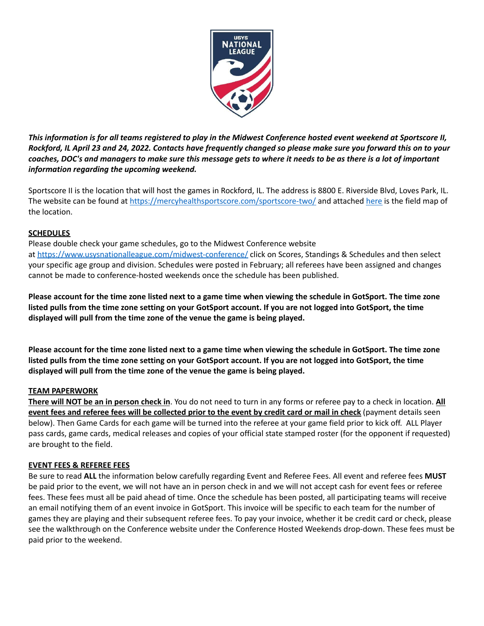

This information is for all teams registered to play in the Midwest Conference hosted event weekend at Sportscore II, Rockford, IL April 23 and 24, 2022. Contacts have frequently changed so please make sure you forward this on to your coaches, DOC's and managers to make sure this message gets to where it needs to be as there is a lot of important *information regarding the upcoming weekend.*

Sportscore II is the location that will host the games in Rockford, IL. The address is 8800 E. Riverside Blvd, Loves Park, IL. The website can be found at <https://mercyhealthsportscore.com/sportscore-two/> and attached [here](https://www.usysnationalleague.com/assets/134/6/sportscore_2_map_(1).pdf) is the field map of the location.

# **SCHEDULES**

Please double check your game schedules, go to the Midwest Conference website at <https://www.usysnationalleague.com/midwest-conference/> click on Scores, Standings & Schedules and then select your specific age group and division. Schedules were posted in February; all referees have been assigned and changes cannot be made to conference-hosted weekends once the schedule has been published.

Please account for the time zone listed next to a game time when viewing the schedule in GotSport. The time zone listed pulls from the time zone setting on your GotSport account. If you are not logged into GotSport, the time **displayed will pull from the time zone of the venue the game is being played.**

Please account for the time zone listed next to a game time when viewing the schedule in GotSport. The time zone listed pulls from the time zone setting on your GotSport account. If you are not logged into GotSport, the time **displayed will pull from the time zone of the venue the game is being played.**

## **TEAM PAPERWORK**

**There will NOT be an in person check in**. You do not need to turn in any forms or referee pay to a check in location. **All** event fees and referee fees will be collected prior to the event by credit card or mail in check (payment details seen below). Then Game Cards for each game will be turned into the referee at your game field prior to kick off. ALL Player pass cards, game cards, medical releases and copies of your official state stamped roster (for the opponent if requested) are brought to the field.

## **EVENT FEES & REFEREE FEES**

Be sure to read **ALL** the information below carefully regarding Event and Referee Fees. All event and referee fees **MUST** be paid prior to the event, we will not have an in person check in and we will not accept cash for event fees or referee fees. These fees must all be paid ahead of time. Once the schedule has been posted, all participating teams will receive an email notifying them of an event invoice in GotSport. This invoice will be specific to each team for the number of games they are playing and their subsequent referee fees. To pay your invoice, whether it be credit card or check, please see the walkthrough on the Conference website under the Conference Hosted Weekends drop-down. These fees must be paid prior to the weekend.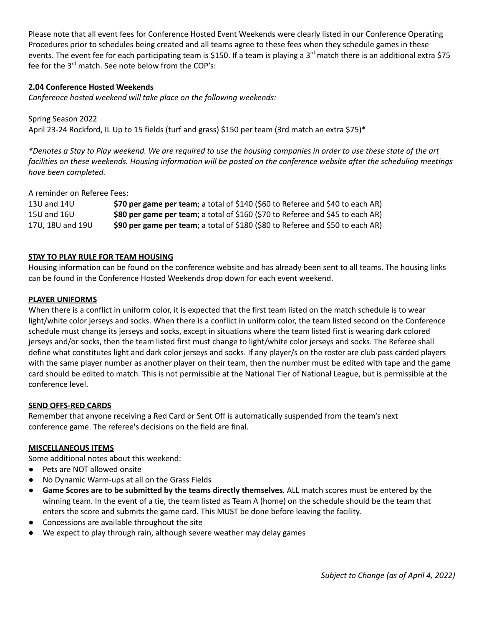Please note that all event fees for Conference Hosted Event Weekends were clearly listed in our Conference Operating Procedures prior to schedules being created and all teams agree to these fees when they schedule games in these events. The event fee for each participating team is \$150. If a team is playing a 3<sup>rd</sup> match there is an additional extra \$75 fee for the 3<sup>rd</sup> match. See note below from the COP's:

# **2.04 Conference Hosted Weekends**

*Conference hosted weekend will take place on the following weekends:*

Spring Season 2022 April 23-24 Rockford, IL Up to 15 fields (turf and grass) \$150 per team (3rd match an extra \$75)\*

\*Denotes a Stay to Play weekend. We are required to use the housing companies in order to use these state of the art facilities on these weekends. Housing information will be posted on the conference website after the scheduling meetings *have been completed.*

# A reminder on Referee Fees:

| 13U and 14U      | \$70 per game per team; a total of \$140 (\$60 to Referee and \$40 to each AR) |
|------------------|--------------------------------------------------------------------------------|
| 15U and 16U      | \$80 per game per team; a total of \$160 (\$70 to Referee and \$45 to each AR) |
| 17U. 18U and 19U | \$90 per game per team; a total of \$180 (\$80 to Referee and \$50 to each AR) |

# **STAY TO PLAY RULE FOR TEAM HOUSING**

Housing information can be found on the conference website and has already been sent to all teams. The housing links can be found in the Conference Hosted Weekends drop down for each event weekend.

## **PLAYER UNIFORMS**

When there is a conflict in uniform color, it is expected that the first team listed on the match schedule is to wear light/white color jerseys and socks. When there is a conflict in uniform color, the team listed second on the Conference schedule must change its jerseys and socks, except in situations where the team listed first is wearing dark colored jerseys and/or socks, then the team listed first must change to light/white color jerseys and socks. The Referee shall define what constitutes light and dark color jerseys and socks. If any player/s on the roster are club pass carded players with the same player number as another player on their team, then the number must be edited with tape and the game card should be edited to match. This is not permissible at the National Tier of National League, but is permissible at the conference level.

## **SEND OFFS-RED CARDS**

Remember that anyone receiving a Red Card or Sent Off is automatically suspended from the team's next conference game. The referee's decisions on the field are final.

## **MISCELLANEOUS ITEMS**

Some additional notes about this weekend:

- Pets are NOT allowed onsite
- No Dynamic Warm-ups at all on the Grass Fields
- **Game Scores are to be submitted by the teams directly themselves**. ALL match scores must be entered by the winning team. In the event of a tie, the team listed as Team A (home) on the schedule should be the team that enters the score and submits the game card. This MUST be done before leaving the facility.
- Concessions are available throughout the site
- We expect to play through rain, although severe weather may delay games